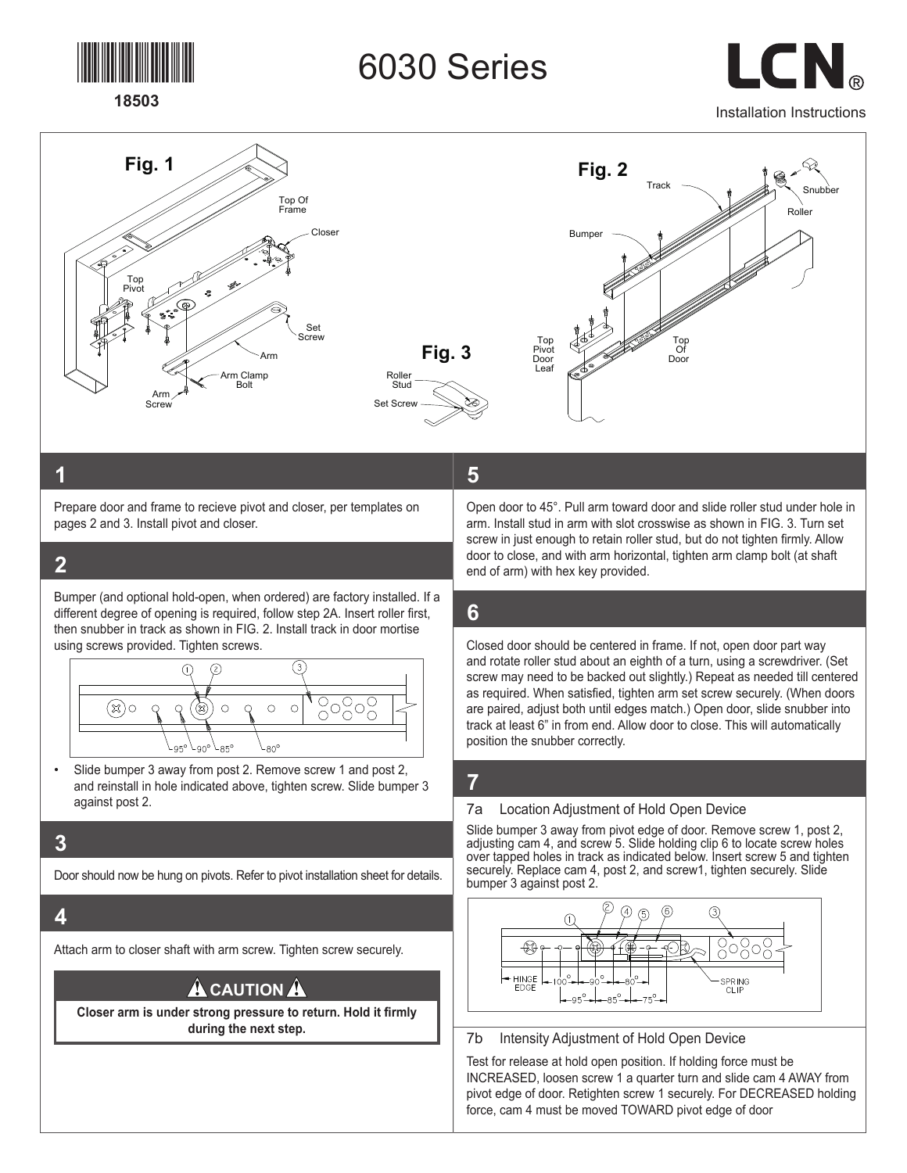

# **Fig. 1 Fig. 2** 6030 Series

 $\Box$ Installation Instructions



## **1**

Prepare door and frame to recieve pivot and closer, per templates on pages 2 and 3. Install pivot and closer. Set **Fig. 3**

Arm Clamp

#### **2** Arm Screw

Bumper (and optional hold-open, when ordered) are factory installed. If a different degree of opening is required, follow step 2A. Insert roller first, then snubber in track as shown in FIG. 2. Install track in door mortise using screws provided. Tighten screws.

Set Screw

Roller



• Slide bumper 3 away from post 2. Remove screw 1 and post 2, and reinstall in hole indicated above, tighten screw. Slide bumper 3 against post 2.

## **3**

Door should now be hung on pivots. Refer to pivot installation sheet for details.

## **4**

Attach arm to closer shaft with arm screw. Tighten screw securely.

# **A** CAUTION A

**Closer arm is under strong pressure to return. Hold it firmly during the next step.**

# **5**

Open door to 45°. Pull arm toward door and slide roller stud under hole in arm. Install stud in arm with slot crosswise as shown in FIG. 3. Turn set screw in just enough to retain roller stud, but do not tighten firmly. Allow door to close, and with arm horizontal, tighten arm clamp bolt (at shaft end of arm) with hex key provided.

# **6**

Closed door should be centered in frame. If not, open door part way and rotate roller stud about an eighth of a turn, using a screwdriver. (Set screw may need to be backed out slightly.) Repeat as needed till centered as required. When satisfied, tighten arm set screw securely. (When doors are paired, adjust both until edges match.) Open door, slide snubber into track at least 6" in from end. Allow door to close. This will automatically position the snubber correctly.

# **7**

#### 7a Location Adjustment of Hold Open Device

Slide bumper 3 away from pivot edge of door. Remove screw 1, post 2, adjusting cam 4, and screw 5. Slide holding clip 6 to locate screw holes over tapped holes in track as indicated below. Insert screw 5 and tighten securely. Replace cam 4, post 2, and screw1, tighten securely. Slide bumper 3 against post 2.



#### 7b Intensity Adjustment of Hold Open Device

Test for release at hold open position. If holding force must be INCREASED, loosen screw 1 a quarter turn and slide cam 4 AWAY from pivot edge of door. Retighten screw 1 securely. For DECREASED holding force, cam 4 must be moved TOWARD pivot edge of door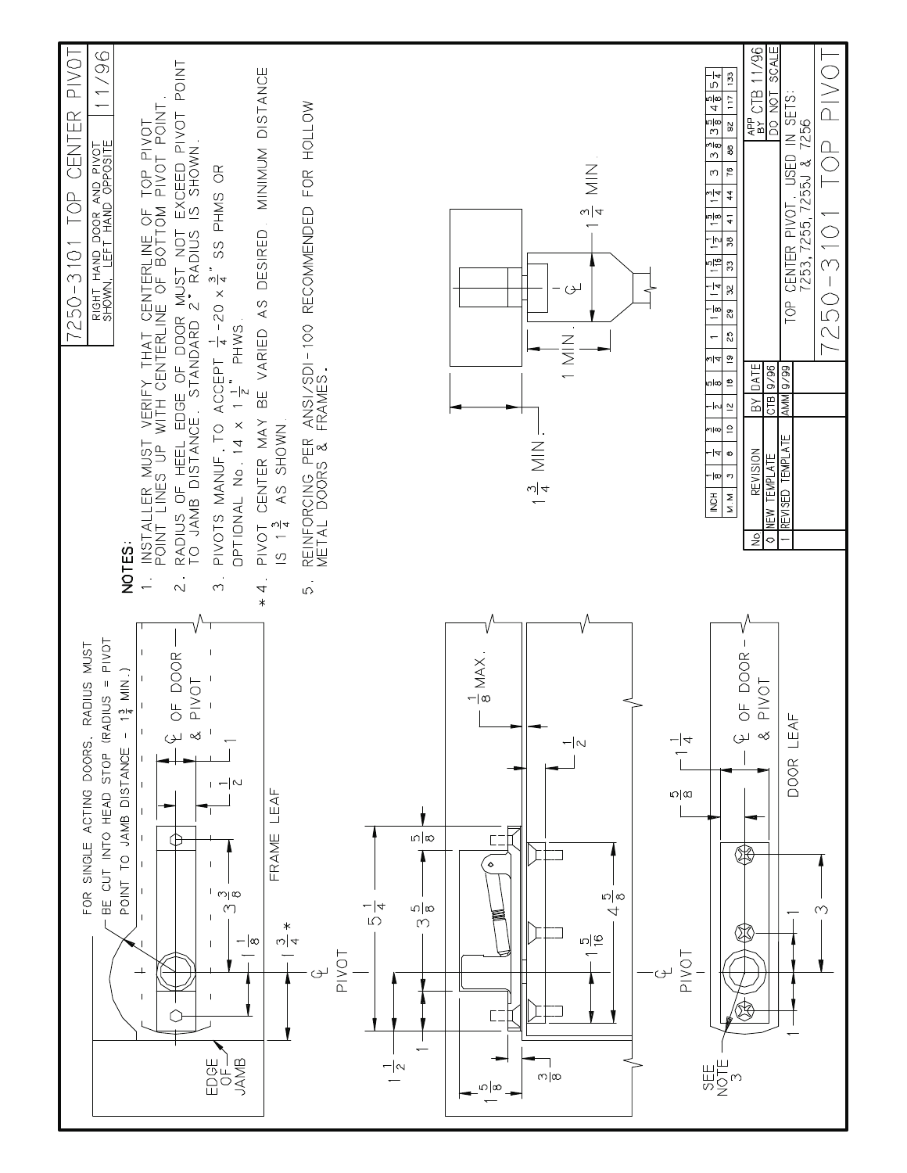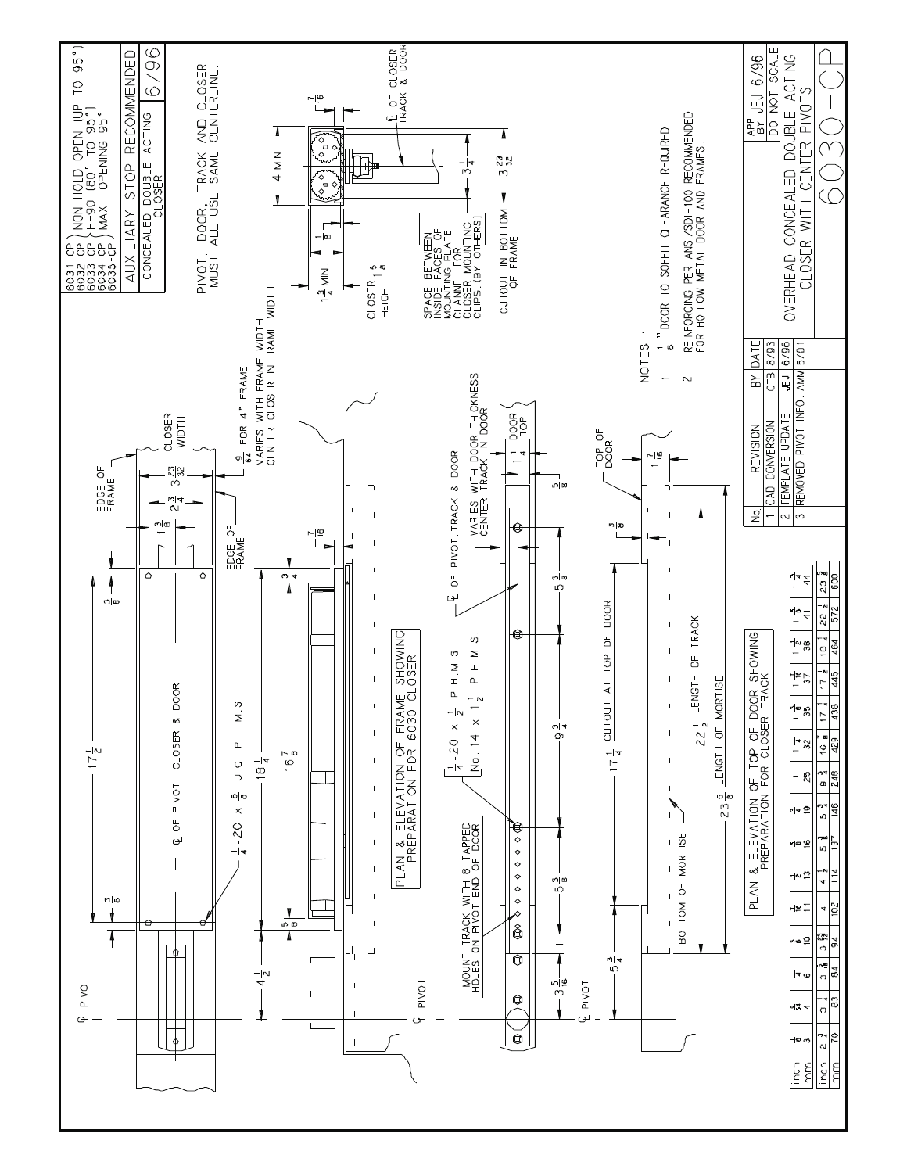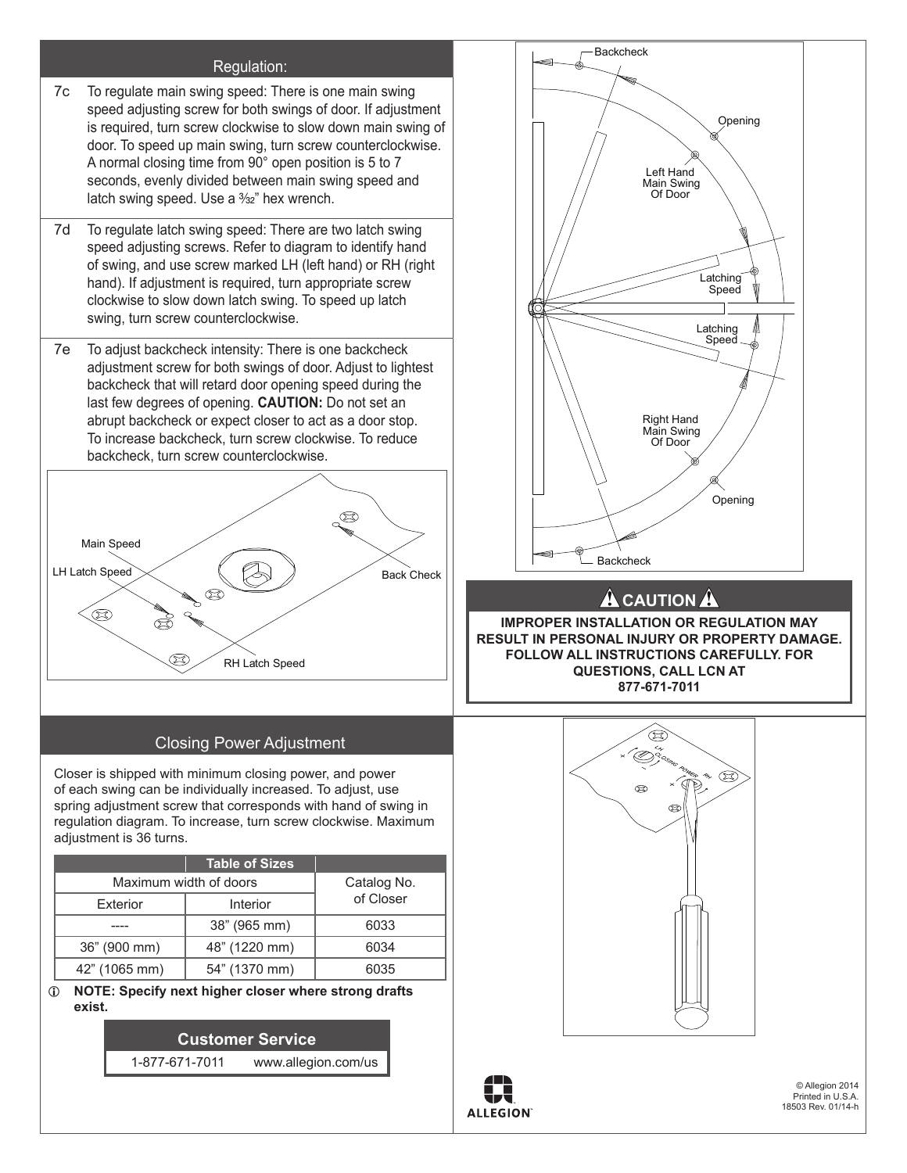#### Regulation:

- 7c To regulate main swing speed: There is one main swing speed adjusting screw for both swings of door. If adjustment is required, turn screw clockwise to slow down main swing of door. To speed up main swing, turn screw counterclockwise. A normal closing time from 90° open position is 5 to 7 seconds, evenly divided between main swing speed and latch swing speed. Use a  $\frac{3}{2}$ " hex wrench.
- 7d To regulate latch swing speed: There are two latch swing speed adjusting screws. Refer to diagram to identify hand of swing, and use screw marked LH (left hand) or RH (right hand). If adjustment is required, turn appropriate screw clockwise to slow down latch swing. To speed up latch swing, turn screw counterclockwise.  $7d$ LH Latch Speed
	- 7e To adjust backcheck intensity: There is one backcheck adjustment screw for both swings of door. Adjust to lightest backcheck that will retard door opening speed during the last few degrees of opening. **CAUTION:** Do not set an abrupt backcheck or expect closer to act as a door stop. To increase backcheck, turn screw clockwise. To reduce backcheck, turn screw counterclockwise.



## Closing Power Adjustment

Closer is shipped with minimum closing power, and power of each swing can be individually increased. To adjust, use spring adjustment screw that corresponds with hand of swing in regulation diagram. To increase, turn screw clockwise. Maximum adjustment is 36 turns.

|                        | <b>Table of Sizes</b> |           |  |
|------------------------|-----------------------|-----------|--|
| Maximum width of doors | Catalog No.           |           |  |
| Exterior               | Interior              | of Closer |  |
|                        | 38" (965 mm)          | 6033      |  |
| 36" (900 mm)           | 48" (1220 mm)         | 6034      |  |
| 42" (1065 mm)          | 54" (1370 mm)         | 6035      |  |

L **NOTE: Specify next higher closer where strong drafts exist.**

> **Customer Service** 1-877-671-7011 www.allegion.com/us







© Allegion 2014 Printed in U.S.A. 18503 Rev. 01/14-h